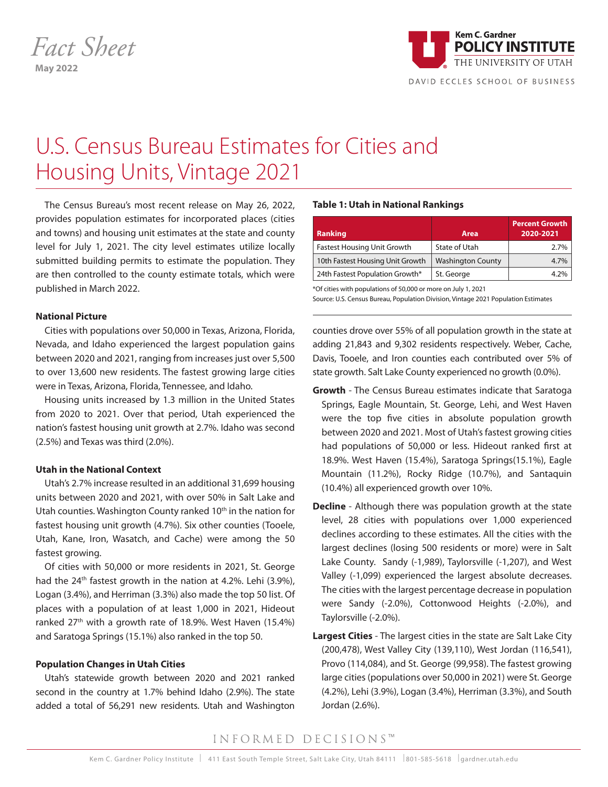

DAVID ECCLES SCHOOL OF BUSINESS

# U.S. Census Bureau Estimates for Cities and Housing Units, Vintage 2021

The Census Bureau's most recent release on May 26, 2022, provides population estimates for incorporated places (cities and towns) and housing unit estimates at the state and county level for July 1, 2021. The city level estimates utilize locally submitted building permits to estimate the population. They are then controlled to the county estimate totals, which were published in March 2022.

#### **National Picture**

Cities with populations over 50,000 in Texas, Arizona, Florida, Nevada, and Idaho experienced the largest population gains between 2020 and 2021, ranging from increases just over 5,500 to over 13,600 new residents. The fastest growing large cities were in Texas, Arizona, Florida, Tennessee, and Idaho.

Housing units increased by 1.3 million in the United States from 2020 to 2021. Over that period, Utah experienced the nation's fastest housing unit growth at 2.7%. Idaho was second (2.5%) and Texas was third (2.0%).

## **Utah in the National Context**

Utah's 2.7% increase resulted in an additional 31,699 housing units between 2020 and 2021, with over 50% in Salt Lake and Utah counties. Washington County ranked  $10<sup>th</sup>$  in the nation for fastest housing unit growth (4.7%). Six other counties (Tooele, Utah, Kane, Iron, Wasatch, and Cache) were among the 50 fastest growing.

Of cities with 50,000 or more residents in 2021, St. George had the 24<sup>th</sup> fastest growth in the nation at 4.2%. Lehi (3.9%), Logan (3.4%), and Herriman (3.3%) also made the top 50 list. Of places with a population of at least 1,000 in 2021, Hideout ranked 27<sup>th</sup> with a growth rate of 18.9%. West Haven (15.4%) and Saratoga Springs (15.1%) also ranked in the top 50.

## **Population Changes in Utah Cities**

Utah's statewide growth between 2020 and 2021 ranked second in the country at 1.7% behind Idaho (2.9%). The state added a total of 56,291 new residents. Utah and Washington

## **Table 1: Utah in National Rankings**

| <b>Ranking</b>                     | Area                     | <b>Percent Growth</b><br>2020-2021 |
|------------------------------------|--------------------------|------------------------------------|
| <b>Fastest Housing Unit Growth</b> | State of Utah            | 2.7%                               |
| 10th Fastest Housing Unit Growth   | <b>Washington County</b> | 4.7%                               |
| 24th Fastest Population Growth*    | St. George               | 4.2%                               |

\*Of cities with populations of 50,000 or more on July 1, 2021 Source: U.S. Census Bureau, Population Division, Vintage 2021 Population Estimates

counties drove over 55% of all population growth in the state at adding 21,843 and 9,302 residents respectively. Weber, Cache, Davis, Tooele, and Iron counties each contributed over 5% of state growth. Salt Lake County experienced no growth (0.0%).

- **Growth** The Census Bureau estimates indicate that Saratoga Springs, Eagle Mountain, St. George, Lehi, and West Haven were the top five cities in absolute population growth between 2020 and 2021. Most of Utah's fastest growing cities had populations of 50,000 or less. Hideout ranked first at 18.9%. West Haven (15.4%), Saratoga Springs(15.1%), Eagle Mountain (11.2%), Rocky Ridge (10.7%), and Santaquin (10.4%) all experienced growth over 10%.
- **Decline**  Although there was population growth at the state level, 28 cities with populations over 1,000 experienced declines according to these estimates. All the cities with the largest declines (losing 500 residents or more) were in Salt Lake County. Sandy (-1,989), Taylorsville (-1,207), and West Valley (-1,099) experienced the largest absolute decreases. The cities with the largest percentage decrease in population were Sandy (-2.0%), Cottonwood Heights (-2.0%), and Taylorsville (-2.0%).
- **Largest Cities** The largest cities in the state are Salt Lake City (200,478), West Valley City (139,110), West Jordan (116,541), Provo (114,084), and St. George (99,958). The fastest growing large cities (populations over 50,000 in 2021) were St. George (4.2%), Lehi (3.9%), Logan (3.4%), Herriman (3.3%), and South Jordan (2.6%).

## INFORMED DECISIONS™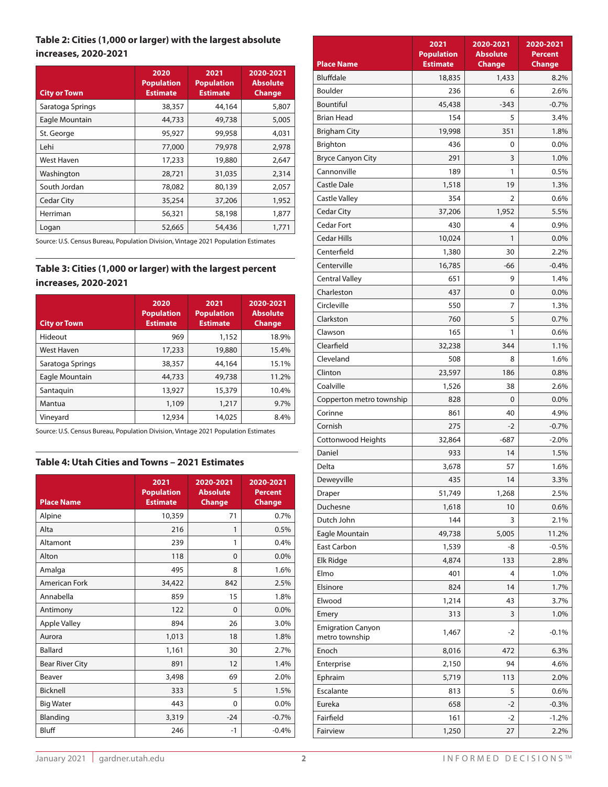## **Table 2: Cities (1,000 or larger) with the largest absolute increases, 2020-2021**

| <b>City or Town</b> | 2020<br><b>Population</b><br><b>Estimate</b> | 2021<br><b>Population</b><br><b>Estimate</b> | 2020-2021<br><b>Absolute</b><br><b>Change</b> |
|---------------------|----------------------------------------------|----------------------------------------------|-----------------------------------------------|
| Saratoga Springs    | 38,357                                       | 44,164                                       | 5,807                                         |
| Eagle Mountain      | 44,733                                       | 49,738                                       | 5,005                                         |
| St. George          | 95,927                                       | 99,958                                       | 4,031                                         |
| Lehi                | 77,000                                       | 79,978                                       | 2,978                                         |
| West Haven          | 17,233                                       | 19,880                                       | 2,647                                         |
| Washington          | 28,721                                       | 31,035                                       | 2,314                                         |
| South Jordan        | 78,082                                       | 80,139                                       | 2,057                                         |
| <b>Cedar City</b>   | 35,254                                       | 37,206                                       | 1,952                                         |
| Herriman            | 56,321                                       | 58,198                                       | 1,877                                         |
| Logan               | 52,665                                       | 54,436                                       | 1,771                                         |

Source: U.S. Census Bureau, Population Division, Vintage 2021 Population Estimates

## **Table 3: Cities (1,000 or larger) with the largest percent increases, 2020-2021**

| <b>City or Town</b> | 2020<br><b>Population</b><br><b>Estimate</b> | 2021<br><b>Population</b><br><b>Estimate</b> | 2020-2021<br><b>Absolute</b><br><b>Change</b> |
|---------------------|----------------------------------------------|----------------------------------------------|-----------------------------------------------|
| Hideout             | 969                                          | 1,152                                        | 18.9%                                         |
| <b>West Haven</b>   | 17,233                                       | 19,880                                       | 15.4%                                         |
| Saratoga Springs    | 38,357                                       | 44,164                                       | 15.1%                                         |
| Eagle Mountain      | 44,733                                       | 49,738                                       | 11.2%                                         |
| Santaguin           | 13,927                                       | 15,379                                       | 10.4%                                         |
| Mantua              | 1,109                                        | 1,217                                        | 9.7%                                          |
| Vineyard            | 12,934                                       | 14,025                                       | 8.4%                                          |

Source: U.S. Census Bureau, Population Division, Vintage 2021 Population Estimates

## **Table 4: Utah Cities and Towns – 2021 Estimates**

| <b>Place Name</b>      | 2021<br><b>Population</b><br><b>Estimate</b> | 2020-2021<br><b>Absolute</b><br><b>Change</b> | 2020-2021<br><b>Percent</b><br><b>Change</b> |
|------------------------|----------------------------------------------|-----------------------------------------------|----------------------------------------------|
| Alpine                 | 10,359                                       | 71                                            | 0.7%                                         |
| Alta                   | 216                                          | 1                                             | 0.5%                                         |
| Altamont               | 239                                          | 1                                             | 0.4%                                         |
| Alton                  | 118                                          | $\Omega$                                      | 0.0%                                         |
| Amalga                 | 495                                          | 8                                             | 1.6%                                         |
| American Fork          | 34,422                                       | 842                                           | 2.5%                                         |
| Annabella              | 859                                          | 15                                            | 1.8%                                         |
| Antimony               | 122                                          | $\Omega$                                      | 0.0%                                         |
| <b>Apple Valley</b>    | 894                                          | 26                                            | 3.0%                                         |
| Aurora                 | 1,013                                        | 18                                            | 1.8%                                         |
| <b>Ballard</b>         | 1,161                                        | 30                                            | 2.7%                                         |
| <b>Bear River City</b> | 891                                          | 12                                            | 1.4%                                         |
| Beaver                 | 3,498                                        | 69                                            | 2.0%                                         |
| Bicknell               | 333                                          | 5                                             | 1.5%                                         |
| <b>Big Water</b>       | 443                                          | $\Omega$                                      | 0.0%                                         |
| Blanding               | 3,319                                        | $-24$                                         | $-0.7%$                                      |
| Bluff                  | 246                                          | $-1$                                          | $-0.4%$                                      |

|                                            | 2021                                 | 2020-2021                        | 2020-2021                       |
|--------------------------------------------|--------------------------------------|----------------------------------|---------------------------------|
| <b>Place Name</b>                          | <b>Population</b><br><b>Estimate</b> | <b>Absolute</b><br><b>Change</b> | <b>Percent</b><br><b>Change</b> |
| <b>Bluffdale</b>                           | 18,835                               | 1,433                            | 8.2%                            |
| <b>Boulder</b>                             | 236                                  | 6                                | 2.6%                            |
| <b>Bountiful</b>                           | 45,438                               | $-343$                           | $-0.7%$                         |
| <b>Brian Head</b>                          | 154                                  | 5                                | 3.4%                            |
| <b>Brigham City</b>                        | 19,998                               | 351                              | 1.8%                            |
| Brighton                                   | 436                                  | 0                                | 0.0%                            |
| <b>Bryce Canyon City</b>                   | 291                                  | 3                                | 1.0%                            |
| Cannonville                                | 189                                  | 1                                | 0.5%                            |
| <b>Castle Dale</b>                         | 1,518                                | 19                               | 1.3%                            |
| <b>Castle Valley</b>                       | 354                                  | 2                                | 0.6%                            |
| <b>Cedar City</b>                          | 37,206                               | 1,952                            | 5.5%                            |
| <b>Cedar Fort</b>                          | 430                                  | 4                                | 0.9%                            |
| <b>Cedar Hills</b>                         | 10,024                               | 1                                | 0.0%                            |
| Centerfield                                | 1,380                                | 30                               | 2.2%                            |
| Centerville                                | 16,785                               | -66                              | $-0.4%$                         |
| <b>Central Valley</b>                      | 651                                  | 9                                | 1.4%                            |
| Charleston                                 | 437                                  | 0                                | 0.0%                            |
| Circleville                                | 550                                  | 7                                | 1.3%                            |
| Clarkston                                  | 760                                  | 5                                | 0.7%                            |
| Clawson                                    | 165                                  | 1                                | 0.6%                            |
| Clearfield                                 | 32,238                               | 344                              | 1.1%                            |
| Cleveland                                  | 508                                  | 8                                | 1.6%                            |
| Clinton                                    | 23,597                               | 186                              | 0.8%                            |
| Coalville                                  | 1,526                                | 38                               | 2.6%                            |
| Copperton metro township                   | 828                                  | 0                                | 0.0%                            |
| Corinne                                    | 861                                  | 40                               | 4.9%                            |
| Cornish                                    | 275                                  | $-2$                             | $-0.7%$                         |
| Cottonwood Heights                         | 32,864                               | $-687$                           | $-2.0\%$                        |
| Daniel                                     | 933                                  | 14                               | 1.5%                            |
| Delta                                      | 3,678                                | 57                               | 1.6%                            |
| Deweyville                                 | 435                                  | 14                               | 3.3%                            |
| Draper                                     | 51,749                               | 1,268                            | 2.5%                            |
| Duchesne                                   | 1,618                                | 10                               | 0.6%                            |
| Dutch John                                 | 144                                  | 3                                | 2.1%                            |
| Eagle Mountain                             | 49,738                               | 5,005                            | 11.2%                           |
| <b>East Carbon</b>                         | 1,539                                | -8                               | $-0.5%$                         |
| Elk Ridge                                  | 4,874                                | 133                              | 2.8%                            |
| Elmo                                       | 401                                  | 4                                | 1.0%                            |
| Elsinore                                   | 824                                  | 14                               | 1.7%                            |
| Elwood                                     | 1,214                                | 43                               | 3.7%                            |
| Emery                                      | 313                                  | 3                                | 1.0%                            |
| <b>Emigration Canyon</b><br>metro township | 1,467                                | -2                               | $-0.1%$                         |
| Enoch                                      | 8,016                                | 472                              | 6.3%                            |
| Enterprise                                 | 2,150                                | 94                               | 4.6%                            |
| Ephraim                                    | 5,719                                | 113                              | 2.0%                            |
| Escalante                                  | 813                                  | 5                                | 0.6%                            |
| Eureka                                     | 658                                  | $-2$                             | $-0.3%$                         |
| Fairfield                                  | 161                                  | $-2$                             | $-1.2%$                         |
| Fairview                                   | 1,250                                | 27                               | 2.2%                            |
|                                            |                                      |                                  |                                 |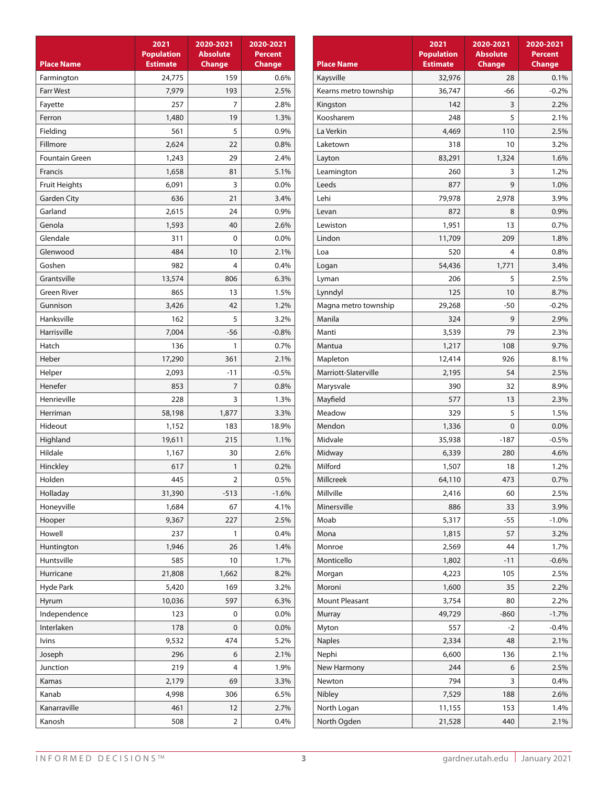| <b>Place Name</b>    | 2021<br><b>Population</b><br><b>Estimate</b> | 2020-2021<br><b>Absolute</b><br><b>Change</b> | 2020-2021<br><b>Percent</b><br><b>Change</b> |
|----------------------|----------------------------------------------|-----------------------------------------------|----------------------------------------------|
| Farmington           | 24,775                                       | 159                                           | 0.6%                                         |
| <b>Farr West</b>     | 7,979                                        | 193                                           | 2.5%                                         |
| Fayette              | 257                                          | 7                                             | 2.8%                                         |
| Ferron               | 1,480                                        | 19                                            | 1.3%                                         |
| Fielding             | 561                                          | 5                                             | 0.9%                                         |
| Fillmore             | 2,624                                        | 22                                            | 0.8%                                         |
| Fountain Green       | 1,243                                        | 29                                            | 2.4%                                         |
| Francis              | 1,658                                        | 81                                            | 5.1%                                         |
| <b>Fruit Heights</b> | 6,091                                        | 3                                             | 0.0%                                         |
| <b>Garden City</b>   | 636                                          | 21                                            | 3.4%                                         |
| Garland              | 2,615                                        | 24                                            | 0.9%                                         |
| Genola               | 1,593                                        | 40                                            | 2.6%                                         |
| Glendale             | 311                                          | 0                                             | 0.0%                                         |
| Glenwood             | 484                                          | 10                                            | 2.1%                                         |
| Goshen               | 982                                          | 4                                             | 0.4%                                         |
| Grantsville          | 13,574                                       | 806                                           | 6.3%                                         |
| <b>Green River</b>   | 865                                          | 13                                            | 1.5%                                         |
| Gunnison             | 3,426                                        | 42                                            | 1.2%                                         |
| Hanksville           | 162                                          | 5                                             | 3.2%                                         |
| Harrisville          | 7,004                                        | -56                                           | $-0.8%$                                      |
| Hatch                | 136                                          | 1                                             | 0.7%                                         |
| Heber                | 17,290                                       | 361                                           | 2.1%                                         |
| Helper               | 2,093                                        | $-11$                                         | $-0.5%$                                      |
| Henefer              | 853                                          | 7                                             | 0.8%                                         |
| Henrieville          | 228                                          | 3                                             | 1.3%                                         |
| Herriman             | 58,198                                       | 1,877                                         | 3.3%                                         |
| Hideout              | 1,152                                        | 183                                           | 18.9%                                        |
| Highland             | 19,611                                       | 215                                           | 1.1%                                         |
| Hildale              | 1,167                                        | 30                                            | 2.6%                                         |
| Hinckley             | 617                                          | 1                                             | 0.2%                                         |
| Holden               | 445                                          | $\overline{2}$                                | 0.5%                                         |
| Holladay             | 31,390                                       | $-513$                                        | $-1.6%$                                      |
| Honeyville           | 1,684                                        | 67                                            | 4.1%                                         |
| Hooper               | 9,367                                        | 227                                           | 2.5%                                         |
| Howell               | 237                                          | 1                                             | 0.4%                                         |
| Huntington           | 1,946                                        | 26                                            | 1.4%                                         |
| Huntsville           | 585                                          | 10                                            | 1.7%                                         |
| Hurricane            | 21,808                                       | 1,662                                         | 8.2%                                         |
| Hyde Park            | 5,420                                        | 169                                           | 3.2%                                         |
| Hyrum                | 10,036                                       | 597                                           | 6.3%                                         |
| Independence         | 123                                          | 0                                             | 0.0%                                         |
| Interlaken           | 178                                          | 0                                             | 0.0%                                         |
| <b>lvins</b>         | 9,532                                        | 474                                           | 5.2%                                         |
| Joseph               | 296                                          | 6                                             | 2.1%                                         |
| Junction             | 219                                          | 4                                             | 1.9%                                         |
| Kamas                | 2,179                                        | 69                                            | 3.3%                                         |
| Kanab                | 4,998                                        | 306                                           | 6.5%                                         |
| Kanarraville         | 461                                          | 12                                            | 2.7%                                         |
| Kanosh               | 508                                          | 2                                             | 0.4%                                         |

|                       | 2021                                 | 2020-2021                        | 2020-2021                       |
|-----------------------|--------------------------------------|----------------------------------|---------------------------------|
| <b>Place Name</b>     | <b>Population</b><br><b>Estimate</b> | <b>Absolute</b><br><b>Change</b> | <b>Percent</b><br><b>Change</b> |
| Kaysville             | 32,976                               | 28                               | 0.1%                            |
| Kearns metro township | 36,747                               | -66                              | $-0.2%$                         |
| Kingston              | 142                                  | 3                                | 2.2%                            |
| Koosharem             | 248                                  | 5                                | 2.1%                            |
| La Verkin             | 4,469                                | 110                              | 2.5%                            |
| Laketown              | 318                                  | 10                               | 3.2%                            |
| Layton                | 83,291                               | 1,324                            | 1.6%                            |
| Leamington            | 260                                  | 3                                | 1.2%                            |
| Leeds                 | 877                                  | 9                                | 1.0%                            |
| Lehi                  | 79,978                               | 2,978                            | 3.9%                            |
| Levan                 | 872                                  | 8                                | 0.9%                            |
| Lewiston              | 1,951                                | 13                               | 0.7%                            |
| Lindon                | 11,709                               | 209                              | 1.8%                            |
| Loa                   | 520                                  | 4                                | 0.8%                            |
| Logan                 | 54,436                               | 1,771                            | 3.4%                            |
| Lyman                 | 206                                  | 5                                | 2.5%                            |
| Lynndyl               | 125                                  | 10                               | 8.7%                            |
| Magna metro township  | 29,268                               | -50                              | $-0.2%$                         |
| Manila                | 324                                  | 9                                | 2.9%                            |
| Manti                 | 3,539                                | 79                               | 2.3%                            |
| Mantua                | 1,217                                | 108                              | 9.7%                            |
| Mapleton              | 12,414                               | 926                              | 8.1%                            |
| Marriott-Slaterville  | 2,195                                | 54                               | 2.5%                            |
| Marysvale             | 390                                  | 32                               | 8.9%                            |
| Mayfield              | 577                                  | 13                               | 2.3%                            |
| Meadow                | 329                                  | 5                                | 1.5%                            |
| Mendon                | 1,336                                | 0                                | 0.0%                            |
| Midvale               | 35,938                               | $-187$                           | $-0.5%$                         |
| Midway                | 6,339                                | 280                              | 4.6%                            |
| Milford               | 1,507                                | 18                               | 1.2%                            |
| Millcreek             | 64,110                               | 473                              | 0.7%                            |
| Millville             | 2,416                                | 60                               | 2.5%                            |
| Minersville           | 886                                  | 33                               | 3.9%                            |
| Moab                  | 5,317                                | -55                              | $-1.0%$                         |
| Mona                  | 1,815                                | 57                               | 3.2%                            |
| Monroe                | 2,569                                | 44                               | 1.7%                            |
| Monticello            | 1,802                                | $-11$                            | $-0.6%$                         |
| Morgan                | 4,223                                | 105                              | 2.5%                            |
| Moroni                | 1,600                                | 35                               | 2.2%                            |
| Mount Pleasant        | 3,754                                | 80                               | 2.2%                            |
| Murray                | 49,729                               | $-860$                           | $-1.7%$                         |
| Myton                 | 557                                  | $-2$                             | $-0.4%$                         |
| <b>Naples</b>         | 2,334                                | 48                               | 2.1%                            |
| Nephi                 | 6,600                                | 136                              | 2.1%                            |
| New Harmony           | 244                                  | 6                                | 2.5%                            |
| Newton                | 794                                  | 3                                | 0.4%                            |
| Nibley                | 7,529                                | 188                              | 2.6%                            |
| North Logan           | 11,155                               | 153                              | 1.4%                            |
| North Ogden           | 21,528                               | 440                              | 2.1%                            |